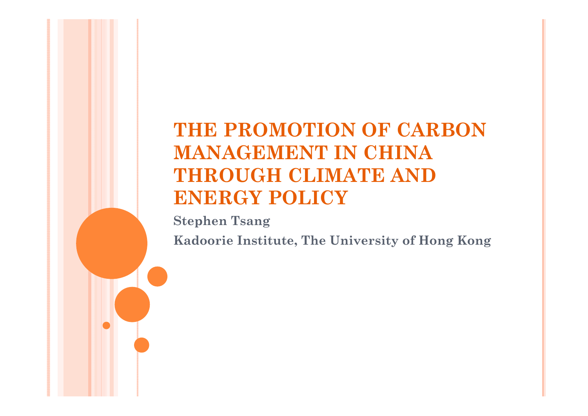### **THE PROMOTION OF CARBON MANAGEMENT IN CHINA THROUGH CLIMATE AND ENERGY POLICY**

**Stephen Tsang Kadoorie Institute, The University of Hong Kong**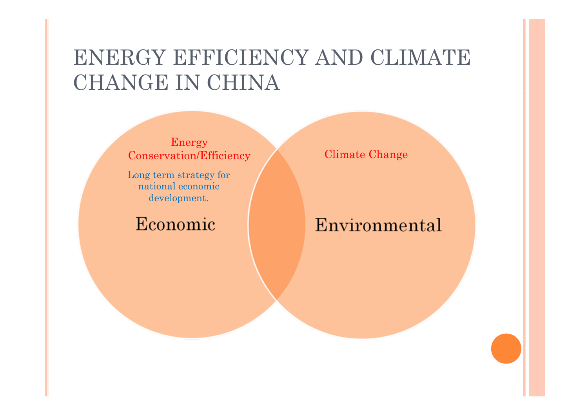## ENERGY EFFICIENCY AND CLIMATE CHANGE IN CHINA

Energy Conservation/Efficiency Climate Change

Long term strategy for national economic development.

Economic

#### Environmental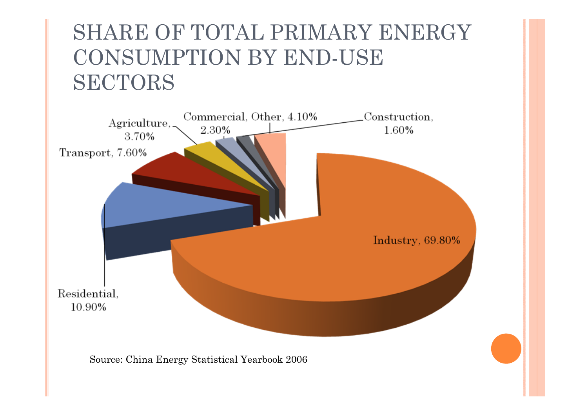## SHARE OF TOTAL PRIMARY ENERGY CONSUMPTION BY END-USE SECTORS

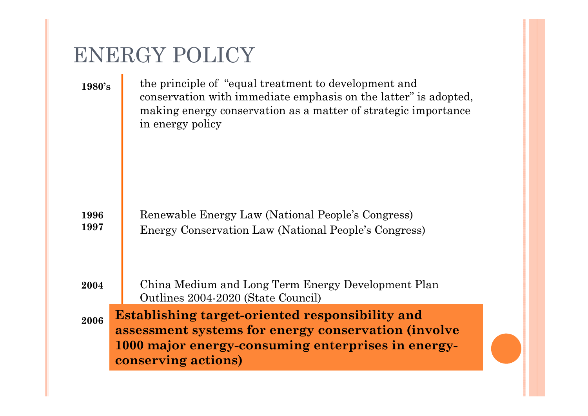### ENERGY POLICY

**1980's1996199720042006**the principle of "equal treatment to development and conservation with immediate emphasis on the latter" is adopted, making energy conservation as a matter of strategic importance in energy policy Renewable Energy Law (National People's Congress) Energy Conservation Law (National People's Congress) China Medium and Long Term Energy Development Plan Outlines 2004-2020 (State Council)  ${\bf Establishing~target-oriented~responsibility~and}$ assessment systems for energy conservation (involve 1000 major energy-consuming enterprises in energy**conserving actions)**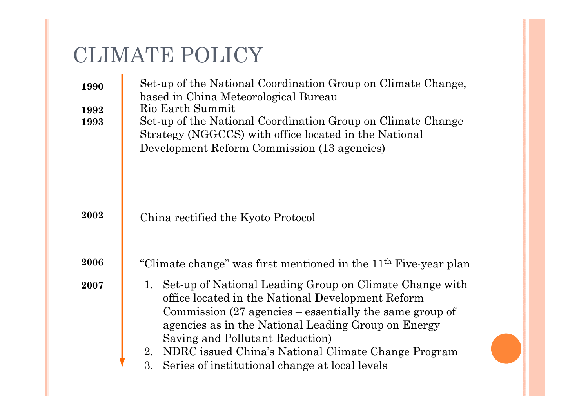## CLIMATE POLICY

| 1990<br>1992<br>1993 | Set-up of the National Coordination Group on Climate Change,<br>based in China Meteorological Bureau<br>Rio Earth Summit<br>Set-up of the National Coordination Group on Climate Change<br>Strategy (NGGCCS) with office located in the National<br>Development Reform Commission (13 agencies)                                                                                                          |
|----------------------|----------------------------------------------------------------------------------------------------------------------------------------------------------------------------------------------------------------------------------------------------------------------------------------------------------------------------------------------------------------------------------------------------------|
| 2002                 | China rectified the Kyoto Protocol                                                                                                                                                                                                                                                                                                                                                                       |
| 2006                 | "Climate change" was first mentioned in the 11 <sup>th</sup> Five-year plan                                                                                                                                                                                                                                                                                                                              |
| 2007                 | 1. Set-up of National Leading Group on Climate Change with<br>office located in the National Development Reform<br>Commission $(27 \text{ agencies} - \text{essentially the same group of})$<br>agencies as in the National Leading Group on Energy<br>Saving and Pollutant Reduction)<br>2. NDRC issued China's National Climate Change Program<br>3.<br>Series of institutional change at local levels |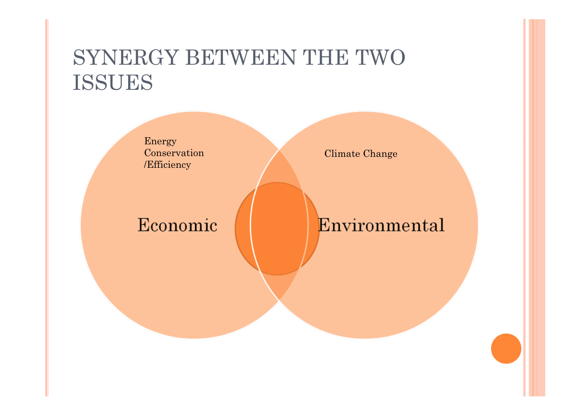## SYNERGY BETWEEN THE TWO ISSUES

Energy Conservation /Efficiency

Climate Change

#### Economic

#### Environmental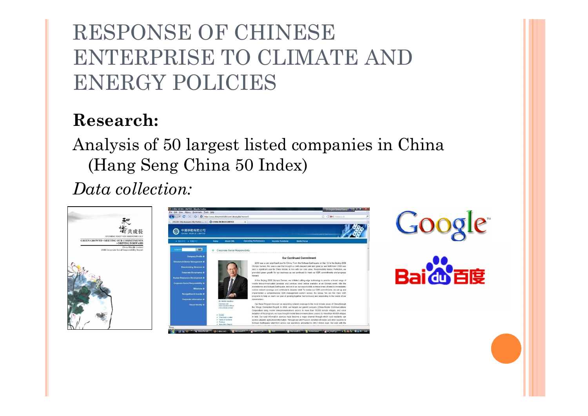# RESPONSE OF CHINESE ENTERPRISE TO CLIMATE AND ENERGY POLICIES

#### **Research:**

Analysis of 50 largest listed companies in China (Hang Seng China 50 Index)

*Data collection:*

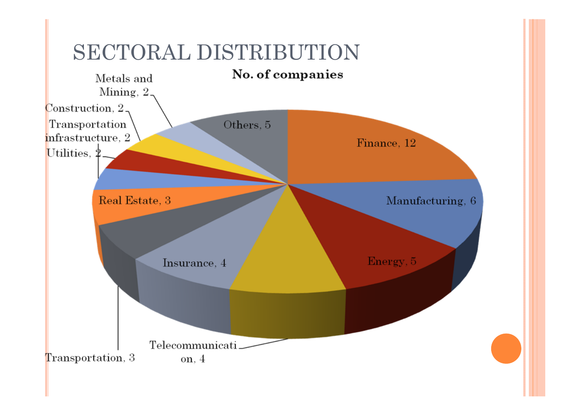## SECTORAL DISTRIBUTION

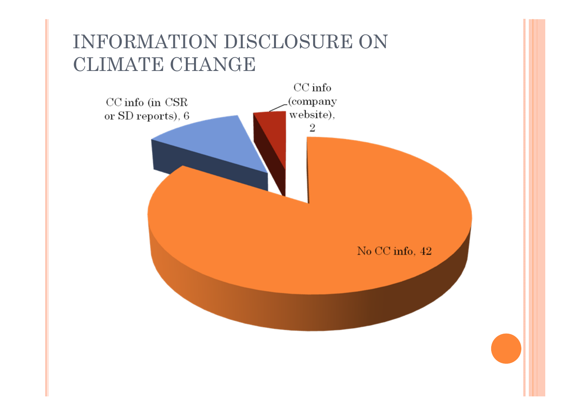### INFORMATION DISCLOSURE ON CLIMATE CHANGE

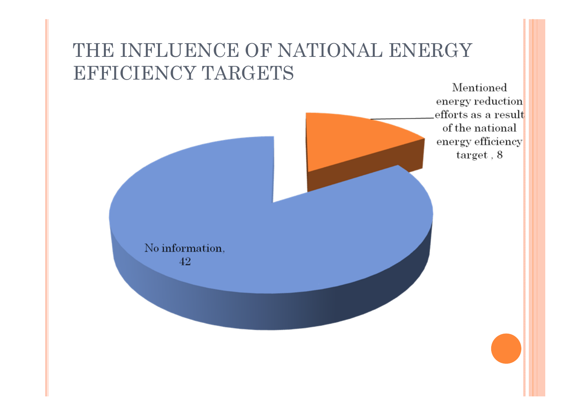### THE INFLUENCE OF NATIONAL ENERGY EFFICIENCY TARGETS

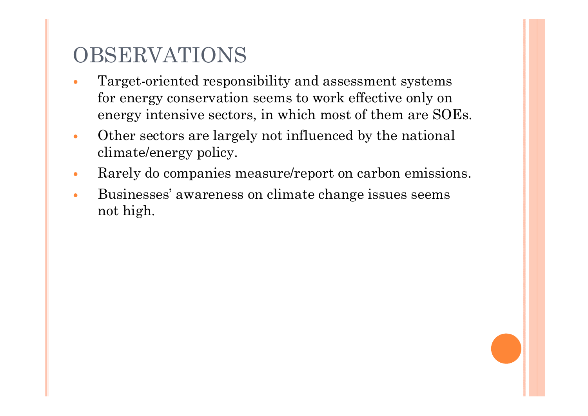# OBSERVATIONS

- 0 Target-oriented responsibility and assessment systems for energy conservation seems to work effective only on energy intensive sectors, in which most of them are SOEs.
- $\bullet$  Other sectors are largely not influenced by the national climate/energy policy.
- $\bullet$ Rarely do companies measure/report on carbon emissions.
- 0 Businesses' awareness on climate change issues seems not high.